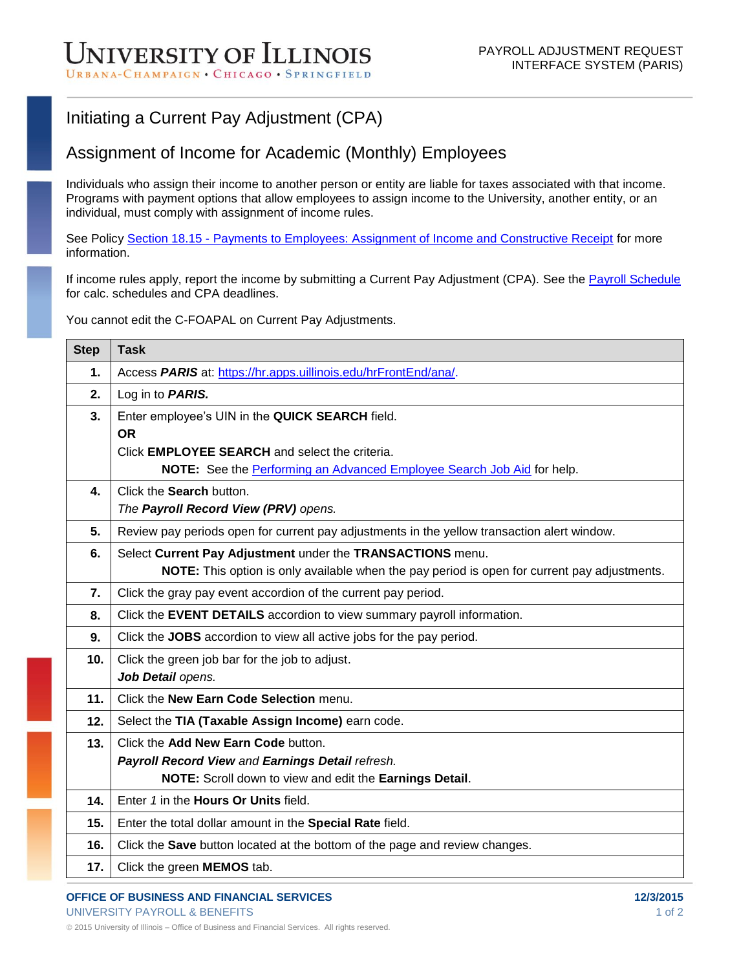## Initiating a Current Pay Adjustment (CPA)

## Assignment of Income for Academic (Monthly) Employees

Individuals who assign their income to another person or entity are liable for taxes associated with that income. Programs with payment options that allow employees to assign income to the University, another entity, or an individual, must comply with assignment of income rules.

See Policy Section 18.15 - [Payments to Employees: Assignment of Income and Constructive Receipt](https://www.obfs.uillinois.edu/bfpp/section-18-taxes/section-18-15) for more information.

If income rules apply, report the income by submitting a Current Pay Adjustment (CPA). See the **Payroll Schedule** for calc. schedules and CPA deadlines.

You cannot edit the C-FOAPAL on Current Pay Adjustments.

| <b>Step</b>     | <b>Task</b>                                                                                         |
|-----------------|-----------------------------------------------------------------------------------------------------|
| 1.              | Access PARIS at: https://hr.apps.uillinois.edu/hrFrontEnd/ana/.                                     |
| 2.              | Log in to <b>PARIS.</b>                                                                             |
| 3.              | Enter employee's UIN in the QUICK SEARCH field.                                                     |
|                 | <b>OR</b>                                                                                           |
|                 | Click <b>EMPLOYEE SEARCH</b> and select the criteria.                                               |
|                 | NOTE: See the Performing an Advanced Employee Search Job Aid for help.                              |
| 4.              | Click the Search button.                                                                            |
|                 | The Payroll Record View (PRV) opens.                                                                |
| 5.              | Review pay periods open for current pay adjustments in the yellow transaction alert window.         |
| 6.              | Select Current Pay Adjustment under the TRANSACTIONS menu.                                          |
|                 | <b>NOTE:</b> This option is only available when the pay period is open for current pay adjustments. |
| 7.              | Click the gray pay event accordion of the current pay period.                                       |
| 8.              | Click the EVENT DETAILS accordion to view summary payroll information.                              |
| 9.              | Click the JOBS accordion to view all active jobs for the pay period.                                |
| 10 <sub>1</sub> | Click the green job bar for the job to adjust.                                                      |
|                 | Job Detail opens.                                                                                   |
| 11.             | Click the New Earn Code Selection menu.                                                             |
| 12.             | Select the TIA (Taxable Assign Income) earn code.                                                   |
| 13.             | Click the Add New Earn Code button.                                                                 |
|                 | Payroll Record View and Earnings Detail refresh.                                                    |
|                 | NOTE: Scroll down to view and edit the Earnings Detail.                                             |
| 14.             | Enter 1 in the <b>Hours Or Units</b> field.                                                         |
| 15.             | Enter the total dollar amount in the Special Rate field.                                            |
| 16.             | Click the Save button located at the bottom of the page and review changes.                         |
| 17.             | Click the green MEMOS tab.                                                                          |